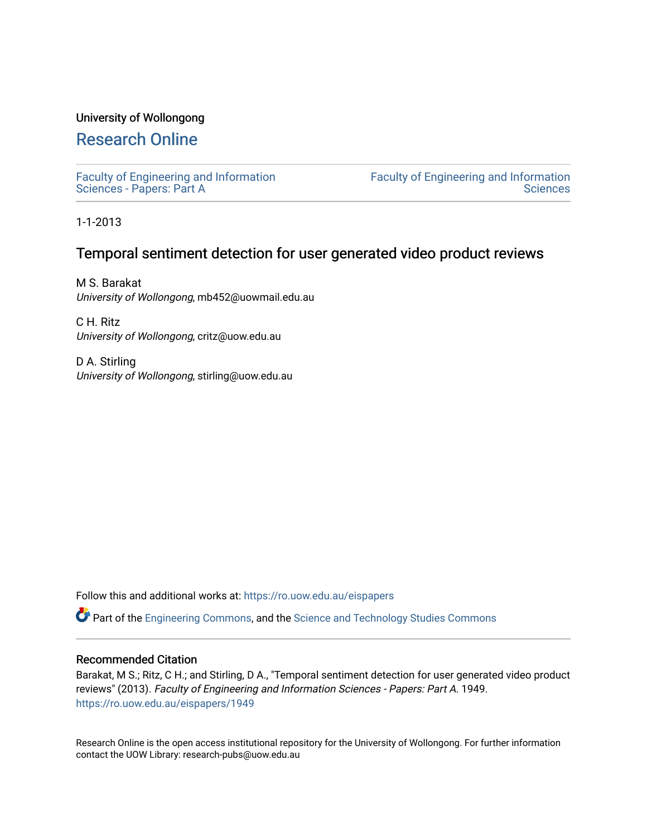## University of Wollongong

# [Research Online](https://ro.uow.edu.au/)

[Faculty of Engineering and Information](https://ro.uow.edu.au/eispapers)  [Sciences - Papers: Part A](https://ro.uow.edu.au/eispapers) 

[Faculty of Engineering and Information](https://ro.uow.edu.au/eis)  **Sciences** 

1-1-2013

# Temporal sentiment detection for user generated video product reviews

M S. Barakat University of Wollongong, mb452@uowmail.edu.au

C H. Ritz University of Wollongong, critz@uow.edu.au

D A. Stirling University of Wollongong, stirling@uow.edu.au

Follow this and additional works at: [https://ro.uow.edu.au/eispapers](https://ro.uow.edu.au/eispapers?utm_source=ro.uow.edu.au%2Feispapers%2F1949&utm_medium=PDF&utm_campaign=PDFCoverPages)

Part of the [Engineering Commons](http://network.bepress.com/hgg/discipline/217?utm_source=ro.uow.edu.au%2Feispapers%2F1949&utm_medium=PDF&utm_campaign=PDFCoverPages), and the [Science and Technology Studies Commons](http://network.bepress.com/hgg/discipline/435?utm_source=ro.uow.edu.au%2Feispapers%2F1949&utm_medium=PDF&utm_campaign=PDFCoverPages)

## Recommended Citation

Barakat, M S.; Ritz, C H.; and Stirling, D A., "Temporal sentiment detection for user generated video product reviews" (2013). Faculty of Engineering and Information Sciences - Papers: Part A. 1949. [https://ro.uow.edu.au/eispapers/1949](https://ro.uow.edu.au/eispapers/1949?utm_source=ro.uow.edu.au%2Feispapers%2F1949&utm_medium=PDF&utm_campaign=PDFCoverPages) 

Research Online is the open access institutional repository for the University of Wollongong. For further information contact the UOW Library: research-pubs@uow.edu.au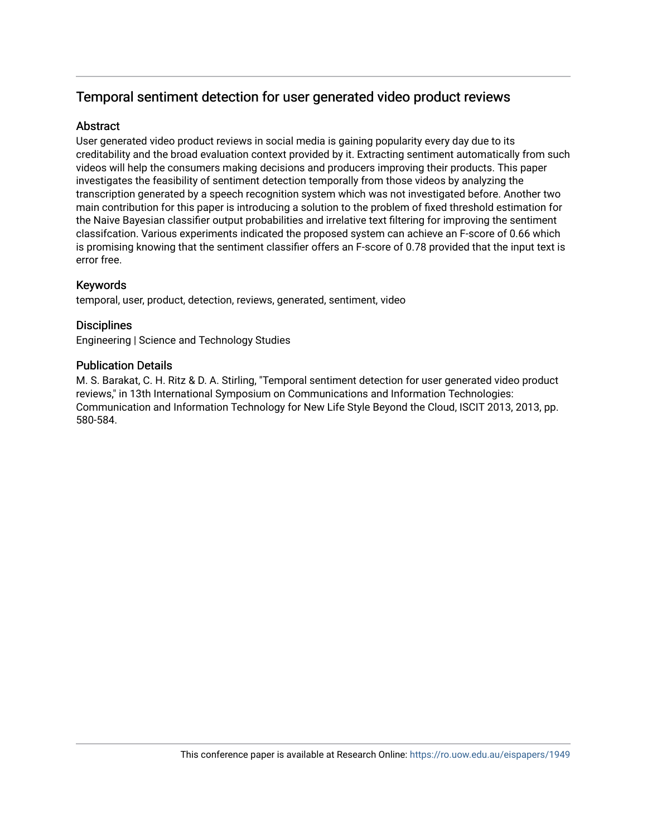# Temporal sentiment detection for user generated video product reviews

# **Abstract**

User generated video product reviews in social media is gaining popularity every day due to its creditability and the broad evaluation context provided by it. Extracting sentiment automatically from such videos will help the consumers making decisions and producers improving their products. This paper investigates the feasibility of sentiment detection temporally from those videos by analyzing the transcription generated by a speech recognition system which was not investigated before. Another two main contribution for this paper is introducing a solution to the problem of fixed threshold estimation for the Naive Bayesian classifier output probabilities and irrelative text filtering for improving the sentiment classifcation. Various experiments indicated the proposed system can achieve an F-score of 0.66 which is promising knowing that the sentiment classifier offers an F-score of 0.78 provided that the input text is error free.

# Keywords

temporal, user, product, detection, reviews, generated, sentiment, video

## **Disciplines**

Engineering | Science and Technology Studies

## Publication Details

M. S. Barakat, C. H. Ritz & D. A. Stirling, "Temporal sentiment detection for user generated video product reviews," in 13th International Symposium on Communications and Information Technologies: Communication and Information Technology for New Life Style Beyond the Cloud, ISCIT 2013, 2013, pp. 580-584.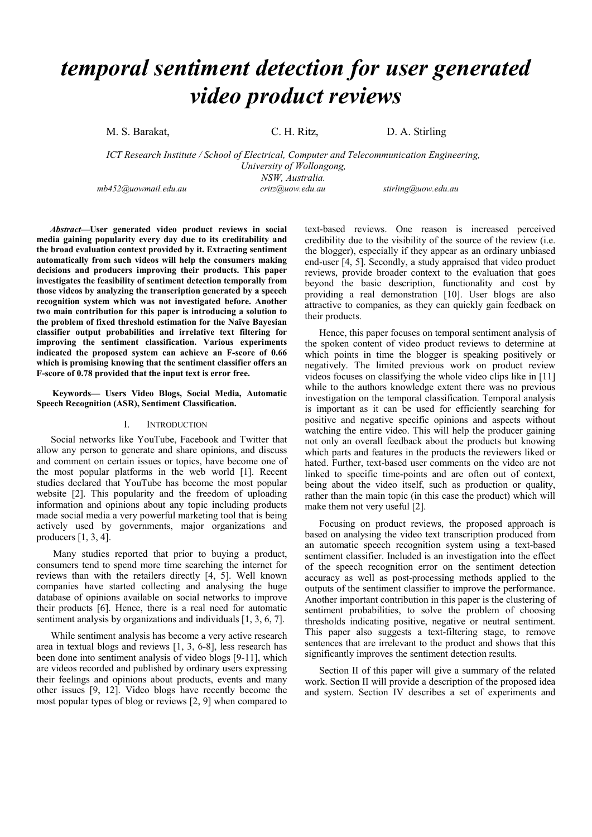# *temporal sentiment detection for user generated video product reviews*

M. S. Barakat, C. H. Ritz, D. A. Stirling

*ICT Research Institute / School of Electrical, Computer and Telecommunication Engineering, University of Wollongong, NSW, Australia. mb452@uowmail.edu.au critz@uow.edu.au stirling@uow.edu.au* 

*Abstract***—User generated video product reviews in social media gaining popularity every day due to its creditability and the broad evaluation context provided by it. Extracting sentiment automatically from such videos will help the consumers making decisions and producers improving their products. This paper investigates the feasibility of sentiment detection temporally from those videos by analyzing the transcription generated by a speech recognition system which was not investigated before. Another two main contribution for this paper is introducing a solution to the problem of fixed threshold estimation for the Naïve Bayesian classifier output probabilities and irrelative text filtering for improving the sentiment classification. Various experiments indicated the proposed system can achieve an F-score of 0.66 which is promising knowing that the sentiment classifier offers an F-score of 0.78 provided that the input text is error free.** 

 **Keywords— Users Video Blogs, Social Media, Automatic Speech Recognition (ASR), Sentiment Classification.** 

#### I. INTRODUCTION

Social networks like YouTube, Facebook and Twitter that allow any person to generate and share opinions, and discuss and comment on certain issues or topics, have become one of the most popular platforms in the web world [1]. Recent studies declared that YouTube has become the most popular website [2]. This popularity and the freedom of uploading information and opinions about any topic including products made social media a very powerful marketing tool that is being actively used by governments, major organizations and producers [1, 3, 4].

 Many studies reported that prior to buying a product, consumers tend to spend more time searching the internet for reviews than with the retailers directly [4, 5]. Well known companies have started collecting and analysing the huge database of opinions available on social networks to improve their products [6]. Hence, there is a real need for automatic sentiment analysis by organizations and individuals [1, 3, 6, 7].

While sentiment analysis has become a very active research area in textual blogs and reviews [1, 3, 6-8], less research has been done into sentiment analysis of video blogs [9-11], which are videos recorded and published by ordinary users expressing their feelings and opinions about products, events and many other issues [9, 12]. Video blogs have recently become the most popular types of blog or reviews [2, 9] when compared to

text-based reviews. One reason is increased perceived credibility due to the visibility of the source of the review (i.e. the blogger), especially if they appear as an ordinary unbiased end-user [4, 5]. Secondly, a study appraised that video product reviews, provide broader context to the evaluation that goes beyond the basic description, functionality and cost by providing a real demonstration [10]. User blogs are also attractive to companies, as they can quickly gain feedback on their products.

Hence, this paper focuses on temporal sentiment analysis of the spoken content of video product reviews to determine at which points in time the blogger is speaking positively or negatively. The limited previous work on product review videos focuses on classifying the whole video clips like in [11] while to the authors knowledge extent there was no previous investigation on the temporal classification. Temporal analysis is important as it can be used for efficiently searching for positive and negative specific opinions and aspects without watching the entire video. This will help the producer gaining not only an overall feedback about the products but knowing which parts and features in the products the reviewers liked or hated. Further, text-based user comments on the video are not linked to specific time-points and are often out of context, being about the video itself, such as production or quality, rather than the main topic (in this case the product) which will make them not very useful [2].

Focusing on product reviews, the proposed approach is based on analysing the video text transcription produced from an automatic speech recognition system using a text-based sentiment classifier. Included is an investigation into the effect of the speech recognition error on the sentiment detection accuracy as well as post-processing methods applied to the outputs of the sentiment classifier to improve the performance. Another important contribution in this paper is the clustering of sentiment probabilities, to solve the problem of choosing thresholds indicating positive, negative or neutral sentiment. This paper also suggests a text-filtering stage, to remove sentences that are irrelevant to the product and shows that this significantly improves the sentiment detection results.

Section II of this paper will give a summary of the related work. Section II will provide a description of the proposed idea and system. Section IV describes a set of experiments and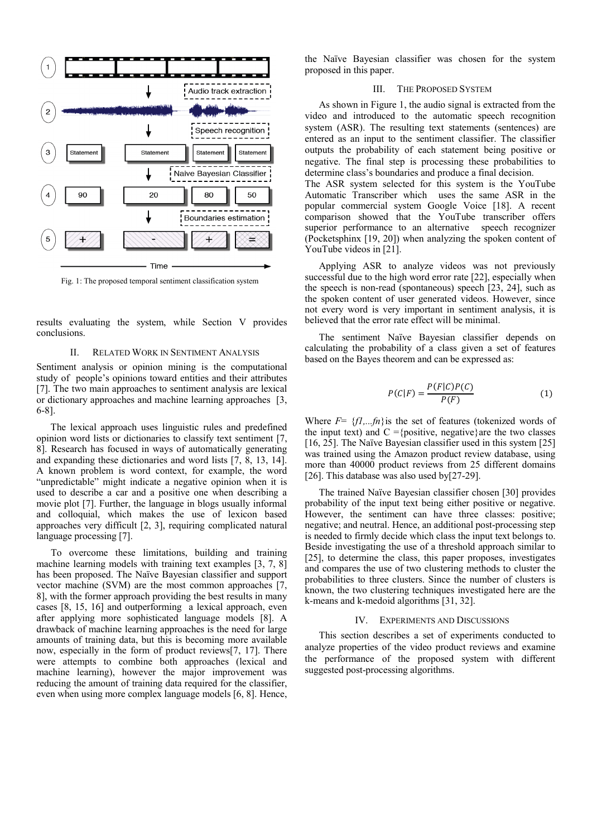

Fig. 1: The proposed temporal sentiment classification system

results evaluating the system, while Section V provides conclusions.

#### II. RELATED WORK IN SENTIMENT ANALYSIS

Sentiment analysis or opinion mining is the computational study of people's opinions toward entities and their attributes [7]. The two main approaches to sentiment analysis are lexical or dictionary approaches and machine learning approaches [3, 6-8].

The lexical approach uses linguistic rules and predefined opinion word lists or dictionaries to classify text sentiment [7, 8]. Research has focused in ways of automatically generating and expanding these dictionaries and word lists [7, 8, 13, 14]. A known problem is word context, for example, the word "unpredictable" might indicate a negative opinion when it is used to describe a car and a positive one when describing a movie plot [7]. Further, the language in blogs usually informal and colloquial, which makes the use of lexicon based approaches very difficult [2, 3], requiring complicated natural language processing [7].

To overcome these limitations, building and training machine learning models with training text examples [3, 7, 8] has been proposed. The Naïve Bayesian classifier and support vector machine (SVM) are the most common approaches [7, 8], with the former approach providing the best results in many cases [8, 15, 16] and outperforming a lexical approach, even after applying more sophisticated language models [8]. A drawback of machine learning approaches is the need for large amounts of training data, but this is becoming more available now, especially in the form of product reviews[7, 17]. There were attempts to combine both approaches (lexical and machine learning), however the major improvement was reducing the amount of training data required for the classifier, even when using more complex language models [6, 8]. Hence,

the Naïve Bayesian classifier was chosen for the system proposed in this paper.

#### III. THE PROPOSED SYSTEM

As shown in Figure 1, the audio signal is extracted from the video and introduced to the automatic speech recognition system (ASR). The resulting text statements (sentences) are entered as an input to the sentiment classifier. The classifier outputs the probability of each statement being positive or negative. The final step is processing these probabilities to determine class's boundaries and produce a final decision.

The ASR system selected for this system is the YouTube Automatic Transcriber which uses the same ASR in the popular commercial system Google Voice [18]. A recent comparison showed that the YouTube transcriber offers superior performance to an alternative speech recognizer (Pocketsphinx [19, 20]) when analyzing the spoken content of YouTube videos in [21].

Applying ASR to analyze videos was not previously successful due to the high word error rate [22], especially when the speech is non-read (spontaneous) speech [23, 24], such as the spoken content of user generated videos. However, since not every word is very important in sentiment analysis, it is believed that the error rate effect will be minimal.

The sentiment Naïve Bayesian classifier depends on calculating the probability of a class given a set of features based on the Bayes theorem and can be expressed as:

$$
P(C|F) = \frac{P(F|C)P(C)}{P(F)}\tag{1}
$$

Where  $F = \{f1,..fn\}$  is the set of features (tokenized words of the input text) and  $C = \{positive, negative\}$  are the two classes [16, 25]. The Naïve Bayesian classifier used in this system [25] was trained using the Amazon product review database, using more than 40000 product reviews from 25 different domains [26]. This database was also used by[27-29].

The trained Naïve Bayesian classifier chosen [30] provides probability of the input text being either positive or negative. However, the sentiment can have three classes: positive; negative; and neutral. Hence, an additional post-processing step is needed to firmly decide which class the input text belongs to. Beside investigating the use of a threshold approach similar to [25], to determine the class, this paper proposes, investigates and compares the use of two clustering methods to cluster the probabilities to three clusters. Since the number of clusters is known, the two clustering techniques investigated here are the k-means and k-medoid algorithms [31, 32].

#### IV. EXPERIMENTS AND DISCUSSIONS

This section describes a set of experiments conducted to analyze properties of the video product reviews and examine the performance of the proposed system with different suggested post-processing algorithms.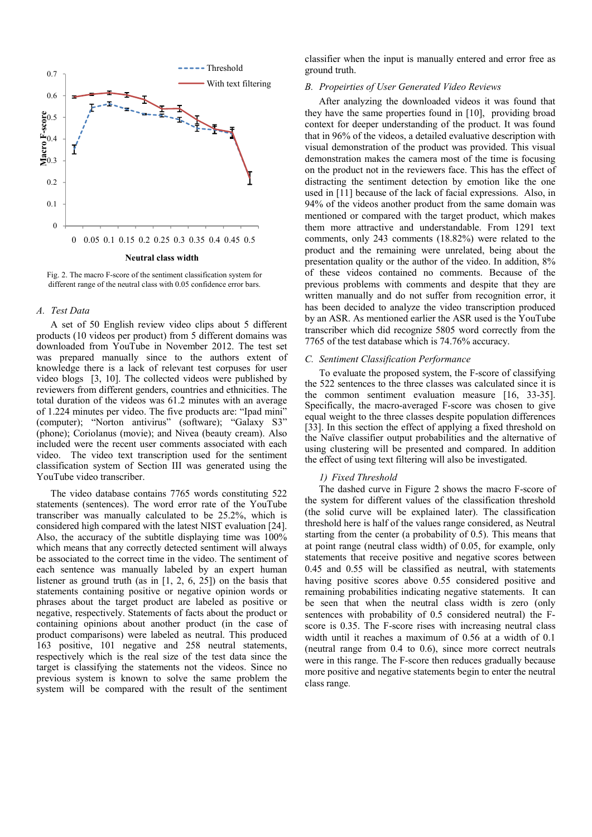

Fig. 2. The macro F-score of the sentiment classification system for different range of the neutral class with 0.05 confidence error bars.

#### *A. Test Data*

A set of 50 English review video clips about 5 different products (10 videos per product) from 5 different domains was downloaded from YouTube in November 2012. The test set was prepared manually since to the authors extent of knowledge there is a lack of relevant test corpuses for user video blogs [3, 10]. The collected videos were published by reviewers from different genders, countries and ethnicities. The total duration of the videos was 61.2 minutes with an average of 1.224 minutes per video. The five products are: "Ipad mini" (computer); "Norton antivirus" (software); "Galaxy S3" (phone); Coriolanus (movie); and Nivea (beauty cream). Also included were the recent user comments associated with each video. The video text transcription used for the sentiment classification system of Section III was generated using the YouTube video transcriber.

The video database contains 7765 words constituting 522 statements (sentences). The word error rate of the YouTube transcriber was manually calculated to be 25.2%, which is considered high compared with the latest NIST evaluation [24]. Also, the accuracy of the subtitle displaying time was 100% which means that any correctly detected sentiment will always be associated to the correct time in the video. The sentiment of each sentence was manually labeled by an expert human listener as ground truth (as in [1, 2, 6, 25]) on the basis that statements containing positive or negative opinion words or phrases about the target product are labeled as positive or negative, respectively. Statements of facts about the product or containing opinions about another product (in the case of product comparisons) were labeled as neutral. This produced 163 positive, 101 negative and 258 neutral statements, respectively which is the real size of the test data since the target is classifying the statements not the videos. Since no previous system is known to solve the same problem the system will be compared with the result of the sentiment

classifier when the input is manually entered and error free as ground truth.

#### *B. Propeirties of User Generated Video Reviews*

After analyzing the downloaded videos it was found that they have the same properties found in [10], providing broad context for deeper understanding of the product. It was found that in 96% of the videos, a detailed evaluative description with visual demonstration of the product was provided. This visual demonstration makes the camera most of the time is focusing on the product not in the reviewers face. This has the effect of distracting the sentiment detection by emotion like the one used in [11] because of the lack of facial expressions. Also, in 94% of the videos another product from the same domain was mentioned or compared with the target product, which makes them more attractive and understandable. From 1291 text comments, only 243 comments (18.82%) were related to the product and the remaining were unrelated, being about the presentation quality or the author of the video. In addition, 8% of these videos contained no comments. Because of the previous problems with comments and despite that they are written manually and do not suffer from recognition error, it has been decided to analyze the video transcription produced by an ASR. As mentioned earlier the ASR used is the YouTube transcriber which did recognize 5805 word correctly from the 7765 of the test database which is 74.76% accuracy.

#### *C. Sentiment Classification Performance*

To evaluate the proposed system, the F-score of classifying the 522 sentences to the three classes was calculated since it is the common sentiment evaluation measure [16, 33-35]. Specifically, the macro-averaged F-score was chosen to give equal weight to the three classes despite population differences [33]. In this section the effect of applying a fixed threshold on the Naïve classifier output probabilities and the alternative of using clustering will be presented and compared. In addition the effect of using text filtering will also be investigated.

#### *1) Fixed Threshold*

The dashed curve in Figure 2 shows the macro F-score of the system for different values of the classification threshold (the solid curve will be explained later). The classification threshold here is half of the values range considered, as Neutral starting from the center (a probability of 0.5). This means that at point range (neutral class width) of 0.05, for example, only statements that receive positive and negative scores between 0.45 and 0.55 will be classified as neutral, with statements having positive scores above 0.55 considered positive and remaining probabilities indicating negative statements. It can be seen that when the neutral class width is zero (only sentences with probability of 0.5 considered neutral) the Fscore is 0.35. The F-score rises with increasing neutral class width until it reaches a maximum of 0.56 at a width of 0.1 (neutral range from 0.4 to 0.6), since more correct neutrals were in this range. The F-score then reduces gradually because more positive and negative statements begin to enter the neutral class range.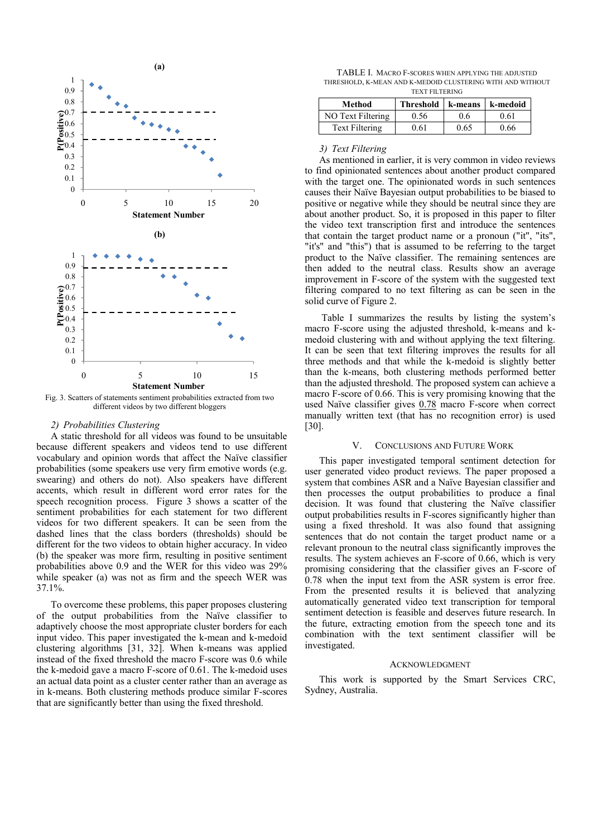

Fig. 3. Scatters of statements sentiment probabilities extracted from two different videos by two different bloggers

#### *2) Probabilities Clustering*

A static threshold for all videos was found to be unsuitable because different speakers and videos tend to use different vocabulary and opinion words that affect the Naïve classifier probabilities (some speakers use very firm emotive words (e.g. swearing) and others do not). Also speakers have different accents, which result in different word error rates for the speech recognition process. Figure 3 shows a scatter of the sentiment probabilities for each statement for two different videos for two different speakers. It can be seen from the dashed lines that the class borders (thresholds) should be different for the two videos to obtain higher accuracy. In video (b) the speaker was more firm, resulting in positive sentiment probabilities above 0.9 and the WER for this video was 29% while speaker (a) was not as firm and the speech WER was 37.1%.

To overcome these problems, this paper proposes clustering of the output probabilities from the Naïve classifier to adaptively choose the most appropriate cluster borders for each input video. This paper investigated the k-mean and k-medoid clustering algorithms [31, 32]. When k-means was applied instead of the fixed threshold the macro F-score was 0.6 while the k-medoid gave a macro F-score of 0.61. The k-medoid uses an actual data point as a cluster center rather than an average as in k-means. Both clustering methods produce similar F-scores that are significantly better than using the fixed threshold.

TABLE I. MACRO F-SCORES WHEN APPLYING THE ADJUSTED THRESHOLD, K-MEAN AND K-MEDOID CLUSTERING WITH AND WITHOUT TEXT FILTERING

| Method            | Threshold   k-means |      | k-medoid |
|-------------------|---------------------|------|----------|
| NO Text Filtering | 0.56                | 06   | 0.61     |
| Text Filtering    | 0 61                | 0.65 | 0.66     |

#### *3) Text Filtering*

As mentioned in earlier, it is very common in video reviews to find opinionated sentences about another product compared with the target one. The opinionated words in such sentences causes their Naïve Bayesian output probabilities to be biased to positive or negative while they should be neutral since they are about another product. So, it is proposed in this paper to filter the video text transcription first and introduce the sentences that contain the target product name or a pronoun ("it", "its", "it's" and "this") that is assumed to be referring to the target product to the Naïve classifier. The remaining sentences are then added to the neutral class. Results show an average improvement in F-score of the system with the suggested text filtering compared to no text filtering as can be seen in the solid curve of Figure 2.

 Table I summarizes the results by listing the system's macro F-score using the adjusted threshold, k-means and kmedoid clustering with and without applying the text filtering. It can be seen that text filtering improves the results for all three methods and that while the k-medoid is slightly better than the k-means, both clustering methods performed better than the adjusted threshold. The proposed system can achieve a macro F-score of 0.66. This is very promising knowing that the used Naïve classifier gives  $0.78$  macro F-score when correct manually written text (that has no recognition error) is used [30].

#### V. CONCLUSIONS AND FUTURE WORK

This paper investigated temporal sentiment detection for user generated video product reviews. The paper proposed a system that combines ASR and a Naïve Bayesian classifier and then processes the output probabilities to produce a final decision. It was found that clustering the Naïve classifier output probabilities results in F-scores significantly higher than using a fixed threshold. It was also found that assigning sentences that do not contain the target product name or a relevant pronoun to the neutral class significantly improves the results. The system achieves an F-score of 0.66, which is very promising considering that the classifier gives an F-score of 0.78 when the input text from the ASR system is error free. From the presented results it is believed that analyzing automatically generated video text transcription for temporal sentiment detection is feasible and deserves future research. In the future, extracting emotion from the speech tone and its combination with the text sentiment classifier will be investigated.

#### ACKNOWLEDGMENT

This work is supported by the Smart Services CRC, Sydney, Australia.